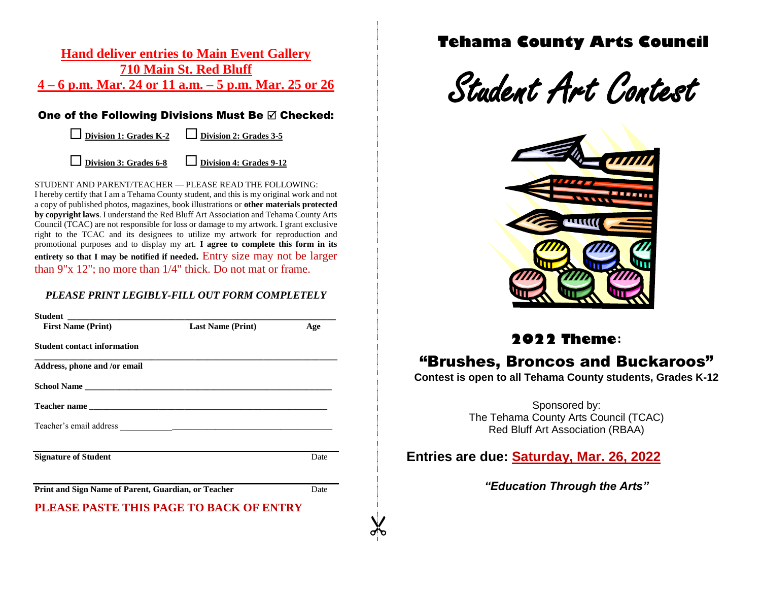### **Hand deliver entries to Main Event Gallery 710 Main St. Red Bluff 4 – 6 p.m. Mar. 24 or 11 a.m. – 5 p.m. Mar. 25 or 26**

### One of the Following Divisions Must Be  $\boxtimes$  Checked:

**Division 1: Grades K-2 Division 2: Grades 3-5**

**Division 3: Grades 6-8 Division 4: Grades 9-12**

STUDENT AND PARENT/TEACHER — PLEASE READ THE FOLLOWING: I hereby certify that I am a Tehama County student, and this is my original work and not a copy of published photos, magazines, book illustrations or **other materials protected by copyright laws**. I understand the Red Bluff Art Association and Tehama County Arts Council (TCAC) are not responsible for loss or damage to my artwork. I grant exclusive right to the TCAC and its designees to utilize my artwork for reproduction and promotional purposes and to display my art. **I agree to complete this form in its entirety so that I may be notified if needed.** Entry size may not be larger than 9"x 12"; no more than 1/4" thick. Do not mat or frame.

### *PLEASE PRINT LEGIBLY-FILL OUT FORM COMPLETELY*

| <b>First Name (Print)</b>                           | <b>Last Name (Print)</b> | Age  |
|-----------------------------------------------------|--------------------------|------|
| <b>Student contact information</b>                  |                          |      |
| Address, phone and /or email                        |                          |      |
|                                                     |                          |      |
|                                                     |                          |      |
|                                                     |                          |      |
| <b>Signature of Student</b>                         |                          | Date |
| Print and Sign Name of Parent, Guardian, or Teacher |                          | Date |
| PLEASE PASTE THIS PAGE TO BACK OF ENTRY             |                          |      |

# **Tehama County Arts Council**

Student Art Contest



# **<sup>2022</sup> Theme:**

# "Brushes, Broncos and Buckaroos"

**Contest is open to all Tehama County students, Grades K-12**

Sponsored by: The Tehama County Arts Council (TCAC) Red Bluff Art Association (RBAA)

### **Entries are due: Saturday, Mar. 26, 2022**

 $\chi$ 

*"Education Through the Arts"*